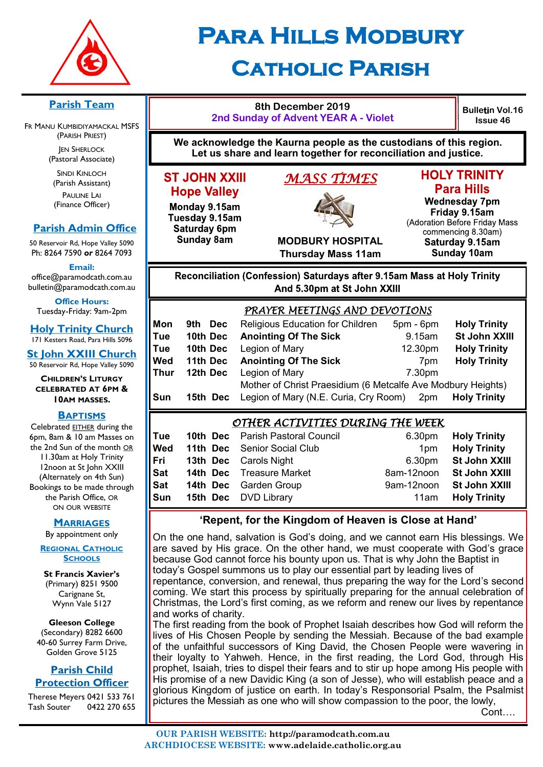

# **Para Hills Modbury Catholic Parish**

### **Parish Team**

FR MANU KUMBIDIYAMACKAL MSFS (PARISH PRIEST) **JEN SHERLOCK** 

(Pastoral Associate)

SINDI KINLOCH (Parish Assistant) PAULINE LAI (Finance Officer)

### **Parish Admin Office**

**Sunday 8am** 

50 Reservoir Rd, Hope Valley 5090 Ph: 8264 7590 *or* 8264 7093

**Email:** 

office@paramodcath.com.au bulletin@paramodcath.com.au

**Office Hours:**  Tuesday-Friday: 9am-2pm

**Holy Trinity Church** 171 Kesters Road, Para Hills 5096

**St John XXIII Church** 50 Reservoir Rd, Hope Valley 5090

#### **CHILDREN'S LITURGY CELEBRATED AT 6PM & 10AM MASSES.**

#### **BAPTISMS**

Celebrated EITHER during the 6pm, 8am & 10 am Masses on the 2nd Sun of the month OR 11.30am at Holy Trinity 12noon at St John XXIII (Alternately on 4th Sun) Bookings to be made through the Parish Office, OR ON OUR WEBSITE

#### **MARRIAGES**

By appointment only

**REGIONAL CATHOLIC SCHOOLS**

**St Francis Xavier's**  (Primary) 8251 9500 Carignane St, Wynn Vale 5127

**Gleeson College**  (Secondary) 8282 6600 40-60 Surrey Farm Drive, Golden Grove 5125

#### **Parish Child Protection Officer**

Therese Meyers 0421 533 761 Tash Souter 0422 270 655

#### **2nd Sunday of Advent YEAR A - Violet We acknowledge the Kaurna people as the custodians of this region. Let us share and learn together for reconciliation and justice. ST JOHN XXIII** *MASS TIMES*  **Hope Valley Wednesday 7pm** Monday 9.15am Tuesday 9.15am Saturday 6pm

**8th December 2019**



# **HOLY TRINITY Para Hills**

Friday 9.15am

**Bulletin Vol.16 Issue 46**

**MODBURY HOSPITAL**

(Adoration Before Friday Mass commencing 8.30am) Saturday 9.15am **Sunday 10am** 

# **Thursday Mass 11am** Reconciliation (Confession) Saturdays after 9.15am Mass at Holy Trinity

And 5.30pm at St John XXIII

|      | PRAYER MEETINGS AND DEVOTIONS |                                                              |           |                     |  |
|------|-------------------------------|--------------------------------------------------------------|-----------|---------------------|--|
| Mon  | Dec<br>9th.                   | Religious Education for Children                             | 5pm - 6pm | <b>Holy Trinity</b> |  |
| Tue  | 10th Dec                      | <b>Anointing Of The Sick</b>                                 | 9.15am    | St John XXIII       |  |
| Tue  | 10th Dec                      | Legion of Mary                                               | 12.30pm   | <b>Holy Trinity</b> |  |
| Wed  | 11th Dec                      | <b>Anointing Of The Sick</b>                                 | 7pm       | <b>Holy Trinity</b> |  |
| Thur | 12th Dec                      | Legion of Mary                                               | 7.30pm    |                     |  |
|      |                               | Mother of Christ Praesidium (6 Metcalfe Ave Modbury Heights) |           |                     |  |
| Sun  | 15th Dec                      | Legion of Mary (N.E. Curia, Cry Room)                        | 2pm       | <b>Holy Trinity</b> |  |
|      |                               |                                                              |           |                     |  |

# *OTHER ACTIVITIES DURING THE WEEK*

| Tue | <b>10th Dec</b> Parish Pastoral Council | 6.30pm                   | <b>Holy Trinity</b>  |
|-----|-----------------------------------------|--------------------------|----------------------|
| Wed | 11th Dec Senior Social Club             | 1 <sub>pm</sub>          | <b>Holy Trinity</b>  |
| Fri | <b>13th Dec</b> Carols Night            |                          | 6.30pm St John XXIII |
| Sat | <b>14th Dec</b> Treasure Market         | 8am-12noon St John XXIII |                      |
| Sat | <b>14th Dec</b> Garden Group            | 9am-12noon               | St John XXIII        |
| Sun | <b>15th Dec</b> DVD Library             | 11am                     | <b>Holy Trinity</b>  |

# **'Repent, for the Kingdom of Heaven is Close at Hand'**

On the one hand, salvation is God's doing, and we cannot earn His blessings. We are saved by His grace. On the other hand, we must cooperate with God's grace because God cannot force his bounty upon us. That is why John the Baptist in today's Gospel summons us to play our essential part by leading lives of repentance, conversion, and renewal, thus preparing the way for the Lord's second coming. We start this process by spiritually preparing for the annual celebration of Christmas, the Lord's first coming, as we reform and renew our lives by repentance and works of charity.

The first reading from the book of Prophet Isaiah describes how God will reform the lives of His Chosen People by sending the Messiah. Because of the bad example of the unfaithful successors of King David, the Chosen People were wavering in their loyalty to Yahweh. Hence, in the first reading, the Lord God, through His prophet, Isaiah, tries to dispel their fears and to stir up hope among His people with His promise of a new Davidic King (a son of Jesse), who will establish peace and a glorious Kingdom of justice on earth. In today's Responsorial Psalm, the Psalmist pictures the Messiah as one who will show compassion to the poor, the lowly,

Cont….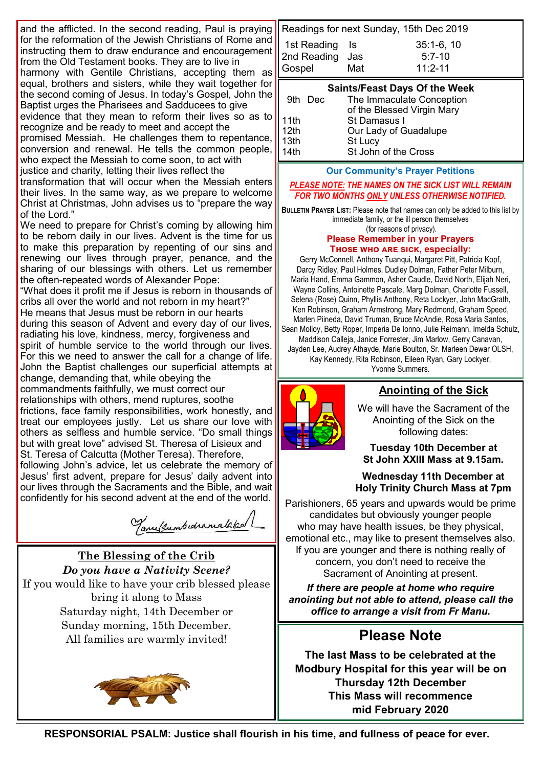and the afflicted. In the second reading, Paul is praying for the reformation of the Jewish Christians of Rome and instructing them to draw endurance and encouragement from the Old Testament books. They are to live in harmony with Gentile Christians, accepting them as

equal, brothers and sisters, while they wait together for the second coming of Jesus. In today's Gospel, John the Baptist urges the Pharisees and Sadducees to give evidence that they mean to reform their lives so as to

recognize and be ready to meet and accept the promised Messiah. He challenges them to repentance, conversion and renewal. He tells the common people, who expect the Messiah to come soon, to act with justice and charity, letting their lives reflect the

transformation that will occur when the Messiah enters their lives. In the same way, as we prepare to welcome Christ at Christmas, John advises us to "prepare the way of the Lord."

We need to prepare for Christ's coming by allowing him to be reborn daily in our lives. Advent is the time for us to make this preparation by repenting of our sins and renewing our lives through prayer, penance, and the sharing of our blessings with others. Let us remember the often-repeated words of Alexander Pope:

"What does it profit me if Jesus is reborn in thousands of cribs all over the world and not reborn in my heart?" He means that Jesus must be reborn in our hearts during this season of Advent and every day of our lives, radiating his love, kindness, mercy, forgiveness and spirit of humble service to the world through our lives. For this we need to answer the call for a change of life. John the Baptist challenges our superficial attempts at change, demanding that, while obeying the commandments faithfully, we must correct our relationships with others, mend ruptures, soothe frictions, face family responsibilities, work honestly, and treat our employees justly. Let us share our love with others as selfless and humble service. "Do small things but with great love" advised St. Theresa of Lisieux and St. Teresa of Calcutta (Mother Teresa). Therefore, following John's advice, let us celebrate the memory of Jesus' first advent, prepare for Jesus' daily advent into our lives through the Sacraments and the Bible, and wait

Tanelsumbedramataka/L

# **The Blessing of the Crib** *Do you have a Nativity Scene?* If you would like to have your crib blessed please bring it along to Mass Saturday night, 14th December or Sunday morning, 15th December. All families are warmly invited!

confidently for his second advent at the end of the world.



Readings for next Sunday, 15th Dec 2019 1st Reading Is 35:1-6, 10 2nd Reading Jas 5:7-10 Gospel Mat 11:2-11

#### **Saints/Feast Days Of the Week**

| 9th Dec             | The Immaculate Conception<br>of the Blessed Virgin Mary |
|---------------------|---------------------------------------------------------|
|                     | St Damasus I                                            |
| $\frac{11}{12}$ th  | Our Lady of Guadalupe                                   |
| $\frac{13th}{14th}$ | St Lucy                                                 |
|                     | St John of the Cross                                    |

#### **Our Community's Prayer Petitions**

*PLEASE NOTE: THE NAMES ON THE SICK LIST WILL REMAIN FOR TWO MONTHS ONLY UNLESS OTHERWISE NOTIFIED.*

**BULLETIN PRAYER LIST:** Please note that names can only be added to this list by immediate family, or the ill person themselves (for reasons of privacy).

#### **Please Remember in your Prayers Those who are sick, especially:**

Gerry McConnell, Anthony Tuanqui, Margaret Pitt, Patricia Kopf, Darcy Ridley, Paul Holmes, Dudley Dolman, Father Peter Milburn, Maria Hand, Emma Gammon, Asher Caudle, David North, Elijah Neri, Wayne Collins, Antoinette Pascale, Marg Dolman, Charlotte Fussell, Selena (Rose) Quinn, Phyllis Anthony, Reta Lockyer, John MacGrath, Ken Robinson, Graham Armstrong, Mary Redmond, Graham Speed, Marlen Piineda, David Truman, Bruce McAndie, Rosa Maria Santos, Sean Molloy, Betty Roper, Imperia De Ionno, Julie Reimann, Imelda Schulz, Maddison Calleja, Janice Forrester, Jim Marlow, Gerry Canavan, Jayden Lee, Audrey Athayde, Marie Boulton, Sr. Marleen Dewar OLSH, Kay Kennedy, Rita Robinson, Eileen Ryan, Gary Lockyer, Yvonne Summers.



### **Anointing of the Sick**

We will have the Sacrament of the Anointing of the Sick on the following dates:

**Tuesday 10th December at St John XXIII Mass at 9.15am.**

**Wednesday 11th December at Holy Trinity Church Mass at 7pm** 

Parishioners, 65 years and upwards would be prime candidates but obviously younger people who may have health issues, be they physical, emotional etc., may like to present themselves also. If you are younger and there is nothing really of concern, you don't need to receive the Sacrament of Anointing at present.

*If there are people at home who require anointing but not able to attend, please call the office to arrange a visit from Fr Manu.*

# **Please Note**

**The last Mass to be celebrated at the Modbury Hospital for this year will be on Thursday 12th December This Mass will recommence mid February 2020**

**RESPONSORIAL PSALM: Justice shall flourish in his time, and fullness of peace for ever.**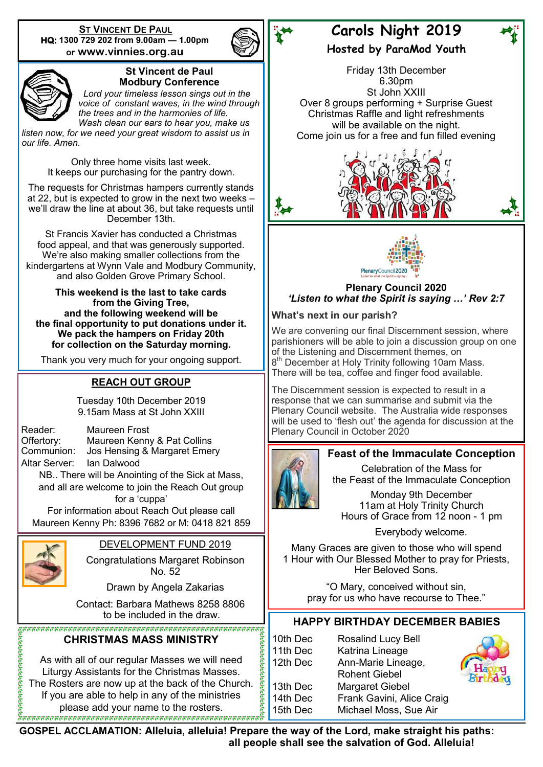**ST VINCENT DE PAUL HQ: 1300 729 202 from 9.00am — 1.00pm or www.vinnies.org.au** 





#### **St Vincent de Paul Modbury Conference**

 *Lord your timeless lesson sings out in the voice of constant waves, in the wind through the trees and in the harmonies of life. Wash clean our ears to hear you, make us* 

*listen now, for we need your great wisdom to assist us in our life. Amen.*

> Only three home visits last week. It keeps our purchasing for the pantry down.

The requests for Christmas hampers currently stands at 22, but is expected to grow in the next two weeks – we'll draw the line at about 36, but take requests until December 13th.

St Francis Xavier has conducted a Christmas food appeal, and that was generously supported. We're also making smaller collections from the kindergartens at Wynn Vale and Modbury Community, and also Golden Grove Primary School.

**This weekend is the last to take cards from the Giving Tree, and the following weekend will be the final opportunity to put donations under it. We pack the hampers on Friday 20th for collection on the Saturday morning.**

Thank you very much for your ongoing support.

# **REACH OUT GROUP**

Tuesday 10th December 2019 9.15am Mass at St John XXIII

Reader: Maureen Frost Offertory: Maureen Kenny & Pat Collins<br>Communion: Jos Hensing & Margaret Emer Jos Hensing & Margaret Emery Altar Server: Ian Dalwood

NB.. There will be Anointing of the Sick at Mass, and all are welcome to join the Reach Out group for a 'cuppa'

For information about Reach Out please call Maureen Kenny Ph: 8396 7682 or M: 0418 821 859



# DEVELOPMENT FUND 2019

Congratulations Margaret Robinson No. 52

Drawn by Angela Zakarias

Contact: Barbara Mathews 8258 8806

# **CHRISTMAS MASS MINISTRY**

As with all of our regular Masses we will need Liturgy Assistants for the Christmas Masses. The Rosters are now up at the back of the Church. If you are able to help in any of the ministries please add your name to the rosters.

# **Carols Night 2019**

**Hosted by ParaMod Youth**

Friday 13th December 6.30pm St John XXIII Over 8 groups performing + Surprise Guest Christmas Raffle and light refreshments will be available on the night. Come join us for a free and fun filled evening





**Plenary Council 2020** *'Listen to what the Spirit is saying …' Rev 2:7*

**What's next in our parish?**

We are convening our final Discernment session, where parishioners will be able to join a discussion group on one of the Listening and Discernment themes, on 8<sup>th</sup> December at Holy Trinity following 10am Mass. There will be tea, coffee and finger food available.

The Discernment session is expected to result in a response that we can summarise and submit via the Plenary Council website. The Australia wide responses will be used to 'flesh out' the agenda for discussion at the Plenary Council in October 2020

# **Feast of the Immaculate Conception**

Celebration of the Mass for the Feast of the Immaculate Conception

Monday 9th December 11am at Holy Trinity Church Hours of Grace from 12 noon - 1 pm

Everybody welcome.

Many Graces are given to those who will spend 1 Hour with Our Blessed Mother to pray for Priests, Her Beloved Sons.

> "O Mary, conceived without sin, pray for us who have recourse to Thee."

# to be included in the draw. **HAPPY BIRTHDAY DECEMBER BABIES**

10th Dec Rosalind Lucy Bell 11th Dec Katrina Lineage 12th Dec Ann-Marie Lineage, Rohent Giebel 13th Dec Margaret Giebel 14th Dec Frank Gavini, Alice Craig 15th Dec Michael Moss, Sue Air



**GOSPEL ACCLAMATION: Alleluia, alleluia! Prepare the way of the Lord, make straight his paths: all people shall see the salvation of God. Alleluia!**